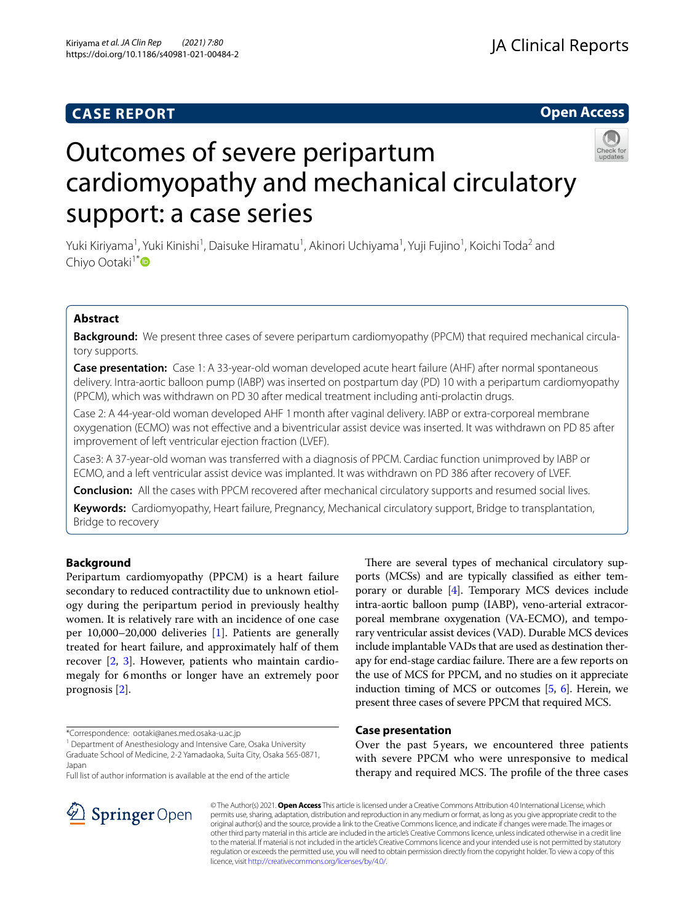# **CASE REPORT**

# **Open Access**



# Outcomes of severe peripartum cardiomyopathy and mechanical circulatory support: a case series

Yuki Kiriyama<sup>1</sup>, Yuki Kinishi<sup>1</sup>, Daisuke Hiramatu<sup>1</sup>, Akinori Uchiyama<sup>1</sup>, Yuji Fujino<sup>1</sup>, Koichi Toda<sup>2</sup> and Chiyo Ootaki<sup>1[\\*](http://orcid.org/0000-0002-7680-051X)</sup>

# **Abstract**

**Background:** We present three cases of severe peripartum cardiomyopathy (PPCM) that required mechanical circulatory supports.

**Case presentation:** Case 1: A 33-year-old woman developed acute heart failure (AHF) after normal spontaneous delivery. Intra-aortic balloon pump (IABP) was inserted on postpartum day (PD) 10 with a peripartum cardiomyopathy (PPCM), which was withdrawn on PD 30 after medical treatment including anti-prolactin drugs.

Case 2: A 44-year-old woman developed AHF 1month after vaginal delivery. IABP or extra-corporeal membrane oxygenation (ECMO) was not efective and a biventricular assist device was inserted. It was withdrawn on PD 85 after improvement of left ventricular ejection fraction (LVEF).

Case3: A 37-year-old woman was transferred with a diagnosis of PPCM. Cardiac function unimproved by IABP or ECMO, and a left ventricular assist device was implanted. It was withdrawn on PD 386 after recovery of LVEF.

**Conclusion:** All the cases with PPCM recovered after mechanical circulatory supports and resumed social lives.

**Keywords:** Cardiomyopathy, Heart failure, Pregnancy, Mechanical circulatory support, Bridge to transplantation, Bridge to recovery

# **Background**

Peripartum cardiomyopathy (PPCM) is a heart failure secondary to reduced contractility due to unknown etiology during the peripartum period in previously healthy women. It is relatively rare with an incidence of one case per 10,000–20,000 deliveries [[1\]](#page-4-0). Patients are generally treated for heart failure, and approximately half of them recover [\[2](#page-4-1), [3\]](#page-4-2). However, patients who maintain cardiomegaly for 6months or longer have an extremely poor prognosis [\[2\]](#page-4-1).

\*Correspondence: ootaki@anes.med.osaka-u.ac.jp

<sup>1</sup> Department of Anesthesiology and Intensive Care, Osaka University Graduate School of Medicine, 2-2 Yamadaoka, Suita City, Osaka 565-0871, Japan

Full list of author information is available at the end of the article



# **Case presentation**

Over the past 5years, we encountered three patients with severe PPCM who were unresponsive to medical therapy and required MCS. The profile of the three cases



© The Author(s) 2021. **Open Access** This article is licensed under a Creative Commons Attribution 4.0 International License, which permits use, sharing, adaptation, distribution and reproduction in any medium or format, as long as you give appropriate credit to the original author(s) and the source, provide a link to the Creative Commons licence, and indicate if changes were made. The images or other third party material in this article are included in the article's Creative Commons licence, unless indicated otherwise in a credit line to the material. If material is not included in the article's Creative Commons licence and your intended use is not permitted by statutory regulation or exceeds the permitted use, you will need to obtain permission directly from the copyright holder. To view a copy of this licence, visit [http://creativecommons.org/licenses/by/4.0/.](http://creativecommons.org/licenses/by/4.0/)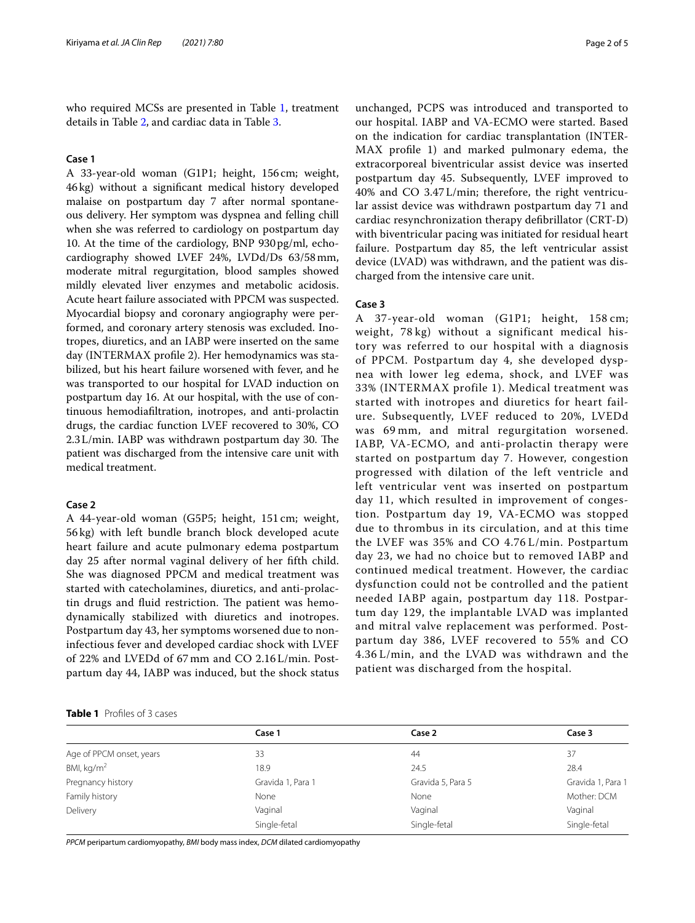who required MCSs are presented in Table [1,](#page-1-0) treatment details in Table [2](#page-2-0), and cardiac data in Table [3.](#page-2-1)

#### **Case 1**

A 33-year-old woman (G1P1; height, 156cm; weight, 46kg) without a signifcant medical history developed malaise on postpartum day 7 after normal spontaneous delivery. Her symptom was dyspnea and felling chill when she was referred to cardiology on postpartum day 10. At the time of the cardiology, BNP 930pg/ml, echocardiography showed LVEF 24%, LVDd/Ds 63/58mm, moderate mitral regurgitation, blood samples showed mildly elevated liver enzymes and metabolic acidosis. Acute heart failure associated with PPCM was suspected. Myocardial biopsy and coronary angiography were performed, and coronary artery stenosis was excluded. Inotropes, diuretics, and an IABP were inserted on the same day (INTERMAX profle 2). Her hemodynamics was stabilized, but his heart failure worsened with fever, and he was transported to our hospital for LVAD induction on postpartum day 16. At our hospital, with the use of continuous hemodiafltration, inotropes, and anti-prolactin drugs, the cardiac function LVEF recovered to 30%, CO  $2.3$  L/min. IABP was withdrawn postpartum day 30. The patient was discharged from the intensive care unit with medical treatment.

#### **Case 2**

A 44-year-old woman (G5P5; height, 151 cm; weight, 56 kg) with left bundle branch block developed acute heart failure and acute pulmonary edema postpartum day 25 after normal vaginal delivery of her ffth child. She was diagnosed PPCM and medical treatment was started with catecholamines, diuretics, and anti-prolactin drugs and fluid restriction. The patient was hemodynamically stabilized with diuretics and inotropes. Postpartum day 43, her symptoms worsened due to noninfectious fever and developed cardiac shock with LVEF of 22% and LVEDd of 67 mm and CO 2.16 L/min. Postpartum day 44, IABP was induced, but the shock status unchanged, PCPS was introduced and transported to our hospital. IABP and VA-ECMO were started. Based on the indication for cardiac transplantation (INTER-MAX profle 1) and marked pulmonary edema, the extracorporeal biventricular assist device was inserted postpartum day 45. Subsequently, LVEF improved to 40% and CO 3.47 L/min; therefore, the right ventricular assist device was withdrawn postpartum day 71 and cardiac resynchronization therapy defbrillator (CRT-D) with biventricular pacing was initiated for residual heart failure. Postpartum day 85, the left ventricular assist device (LVAD) was withdrawn, and the patient was discharged from the intensive care unit.

## **Case 3**

A 37-year-old woman (G1P1; height, 158 cm; weight, 78 kg) without a significant medical history was referred to our hospital with a diagnosis of PPCM. Postpartum day 4, she developed dyspnea with lower leg edema, shock, and LVEF was 33% (INTERMAX profile 1). Medical treatment was started with inotropes and diuretics for heart failure. Subsequently, LVEF reduced to 20%, LVEDd was 69 mm, and mitral regurgitation worsened. IABP, VA-ECMO, and anti-prolactin therapy were started on postpartum day 7. However, congestion progressed with dilation of the left ventricle and left ventricular vent was inserted on postpartum day 11, which resulted in improvement of congestion. Postpartum day 19, VA-ECMO was stopped due to thrombus in its circulation, and at this time the LVEF was 35% and CO 4.76 L/min. Postpartum day 23, we had no choice but to removed IABP and continued medical treatment. However, the cardiac dysfunction could not be controlled and the patient needed IABP again, postpartum day 118. Postpartum day 129, the implantable LVAD was implanted and mitral valve replacement was performed. Postpartum day 386, LVEF recovered to 55% and CO 4.36 L/min, and the LVAD was withdrawn and the patient was discharged from the hospital.

<span id="page-1-0"></span>

|  | <b>Table 1</b> Profiles of 3 cases |  |  |  |
|--|------------------------------------|--|--|--|
|--|------------------------------------|--|--|--|

|                          | Case 1            | Case 2            | Case 3            |
|--------------------------|-------------------|-------------------|-------------------|
| Age of PPCM onset, years | 33                | 44                | 37                |
| BMI, $kg/m2$             | 18.9              | 24.5              | 28.4              |
| Pregnancy history        | Gravida 1, Para 1 | Gravida 5, Para 5 | Gravida 1, Para 1 |
| Family history           | None              | None              | Mother: DCM       |
| Delivery                 | Vaginal           | Vaginal           | Vaginal           |
|                          | Single-fetal      | Single-fetal      | Single-fetal      |

*PPCM* peripartum cardiomyopathy, *BMI* body mass index, *DCM* dilated cardiomyopathy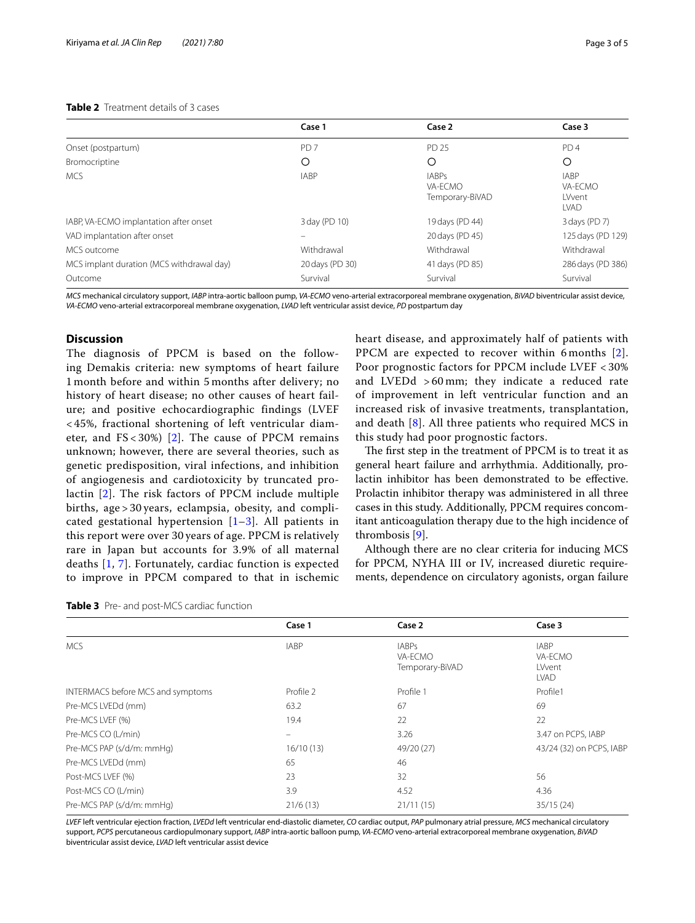## <span id="page-2-0"></span>**Table 2** Treatment details of 3 cases

|  |  |  | r ay |
|--|--|--|------|
|  |  |  |      |
|  |  |  |      |

|                                           | Case 1          | Case 2                                     | Case 3                                          |
|-------------------------------------------|-----------------|--------------------------------------------|-------------------------------------------------|
| Onset (postpartum)                        | PD <sub>7</sub> | PD 25                                      | PD <sub>4</sub>                                 |
| Bromocriptine                             | O               | O                                          | O                                               |
| <b>MCS</b>                                | <b>IABP</b>     | <b>IABPs</b><br>VA-ECMO<br>Temporary-BiVAD | <b>IABP</b><br>VA-ECMO<br>LVvent<br><b>LVAD</b> |
| IABP, VA-ECMO implantation after onset    | 3 day (PD 10)   | 19 days (PD 44)                            | 3 days (PD 7)                                   |
| VAD implantation after onset              |                 | 20 days (PD 45)                            | 125 days (PD 129)                               |
| MCS outcome                               | Withdrawal      | Withdrawal                                 | Withdrawal                                      |
| MCS implant duration (MCS withdrawal day) | 20 days (PD 30) | 41 days (PD 85)                            | 286 days (PD 386)                               |
| Outcome                                   | Survival        | Survival                                   | Survival                                        |

*MCS* mechanical circulatory support, *IABP* intra-aortic balloon pump, *VA-ECMO* veno-arterial extracorporeal membrane oxygenation, *BiVAD* biventricular assist device, *VA-ECMO* veno-arterial extracorporeal membrane oxygenation, *LVAD* left ventricular assist device, *PD* postpartum day

## **Discussion**

The diagnosis of PPCM is based on the following Demakis criteria: new symptoms of heart failure 1 month before and within 5 months after delivery; no history of heart disease; no other causes of heart failure; and positive echocardiographic findings (LVEF < 45%, fractional shortening of left ventricular diameter, and  $FS < 30\%$ ) [[2](#page-4-1)]. The cause of PPCM remains unknown; however, there are several theories, such as genetic predisposition, viral infections, and inhibition of angiogenesis and cardiotoxicity by truncated prolactin [[2\]](#page-4-1). The risk factors of PPCM include multiple births, age > 30 years, eclampsia, obesity, and complicated gestational hypertension  $[1-3]$  $[1-3]$  $[1-3]$ . All patients in this report were over 30 years of age. PPCM is relatively rare in Japan but accounts for 3.9% of all maternal deaths [[1,](#page-4-0) [7\]](#page-4-6). Fortunately, cardiac function is expected to improve in PPCM compared to that in ischemic heart disease, and approximately half of patients with PPCM are expected to recover within 6 months [[2\]](#page-4-1). Poor prognostic factors for PPCM include LVEF < 30% and LVEDd > 60 mm; they indicate a reduced rate of improvement in left ventricular function and an increased risk of invasive treatments, transplantation, and death [[8\]](#page-4-7). All three patients who required MCS in this study had poor prognostic factors.

The first step in the treatment of PPCM is to treat it as general heart failure and arrhythmia. Additionally, prolactin inhibitor has been demonstrated to be efective. Prolactin inhibitor therapy was administered in all three cases in this study. Additionally, PPCM requires concomitant anticoagulation therapy due to the high incidence of thrombosis [[9\]](#page-4-8).

Although there are no clear criteria for inducing MCS for PPCM, NYHA III or IV, increased diuretic requirements, dependence on circulatory agonists, organ failure

<span id="page-2-1"></span>

|  |  | <b>Table 3</b> Pre- and post-MCS cardiac function |  |  |
|--|--|---------------------------------------------------|--|--|
|--|--|---------------------------------------------------|--|--|

|                                   | Case 1                   | Case 2                                     | Case 3                                          |
|-----------------------------------|--------------------------|--------------------------------------------|-------------------------------------------------|
| <b>MCS</b>                        | <b>IABP</b>              | <b>IABPs</b><br>VA-ECMO<br>Temporary-BiVAD | <b>IABP</b><br>VA-ECMO<br>LVvent<br><b>LVAD</b> |
| INTERMACS before MCS and symptoms | Profile 2                | Profile 1                                  | Profile1                                        |
| Pre-MCS LVEDd (mm)                | 63.2                     | 67                                         | 69                                              |
| Pre-MCS LVEF (%)                  | 19.4                     | 22                                         | 22                                              |
| Pre-MCS CO (L/min)                | $\overline{\phantom{0}}$ | 3.26                                       | 3.47 on PCPS, IABP                              |
| Pre-MCS PAP (s/d/m: mmHg)         | 16/10(13)                | 49/20 (27)                                 | 43/24 (32) on PCPS, IABP                        |
| Pre-MCS LVEDd (mm)                | 65                       | 46                                         |                                                 |
| Post-MCS LVEF (%)                 | 23                       | 32                                         | 56                                              |
| Post-MCS CO (L/min)               | 3.9                      | 4.52                                       | 4.36                                            |
| Pre-MCS PAP (s/d/m: mmHg)         | 21/6(13)                 | 21/11(15)                                  | 35/15(24)                                       |

*LVEF* left ventricular ejection fraction, *LVEDd* left ventricular end-diastolic diameter, *CO* cardiac output, *PAP* pulmonary atrial pressure, *MCS* mechanical circulatory support, *PCPS* percutaneous cardiopulmonary support, *IABP* intra-aortic balloon pump, *VA-ECMO* veno-arterial extracorporeal membrane oxygenation, *BiVAD* biventricular assist device, *LVAD* left ventricular assist device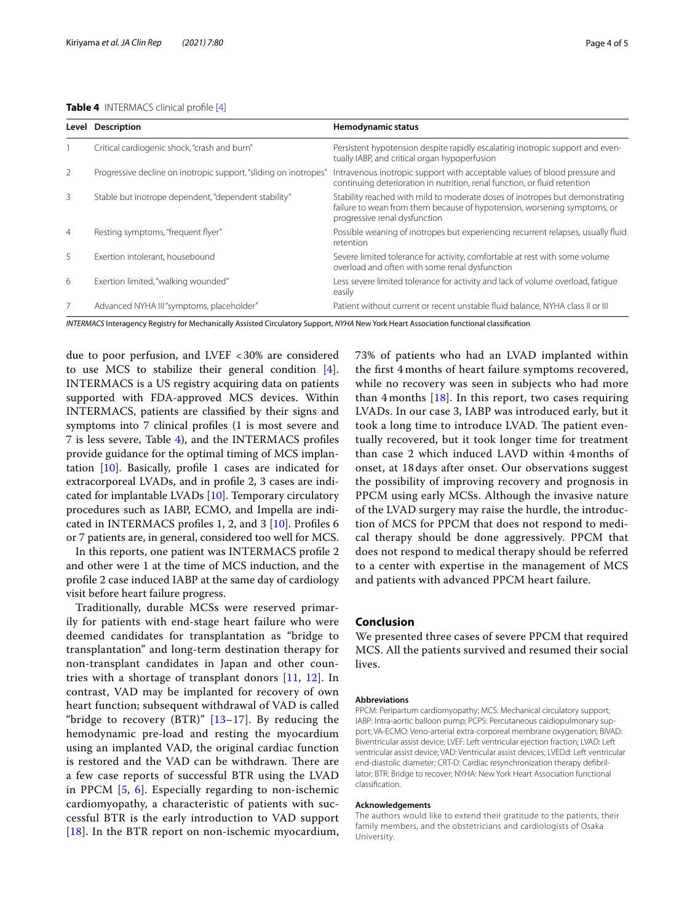#### <span id="page-3-0"></span>**Table 4** INTERMACS clinical profle [\[4\]](#page-4-3)

| Page 4 |  |
|--------|--|
|--------|--|

|                | Level Description                                                | Hemodynamic status                                                                                                                                                                        |
|----------------|------------------------------------------------------------------|-------------------------------------------------------------------------------------------------------------------------------------------------------------------------------------------|
|                | Critical cardiogenic shock, "crash and burn"                     | Persistent hypotension despite rapidly escalating inotropic support and even-<br>tually IABP, and critical organ hypoperfusion                                                            |
| 2              | Progressive decline on inotropic support, "sliding on inotropes" | Intravenous inotropic support with acceptable values of blood pressure and<br>continuing deterioration in nutrition, renal function, or fluid retention                                   |
| 3              | Stable but inotrope dependent, "dependent stability"             | Stability reached with mild to moderate doses of inotropes but demonstrating<br>failure to wean from them because of hypotension, worsening symptoms, or<br>progressive renal dysfunction |
| $\overline{4}$ | Resting symptoms, "frequent flyer"                               | Possible weaning of inotropes but experiencing recurrent relapses, usually fluid<br>retention                                                                                             |
| 5.             | Exertion intolerant, housebound                                  | Severe limited tolerance for activity, comfortable at rest with some volume<br>overload and often with some renal dysfunction                                                             |
| 6              | Exertion limited, "walking wounded"                              | Less severe limited tolerance for activity and lack of volume overload, fatique<br>easily                                                                                                 |
| 7              | Advanced NYHA III "symptoms, placeholder"                        | Patient without current or recent unstable fluid balance, NYHA class II or III                                                                                                            |

*INTERMACS* Interagency Registry for Mechanically Assisted Circulatory Support, *NYHA* New York Heart Association functional classifcation

due to poor perfusion, and LVEF <30% are considered to use MCS to stabilize their general condition [\[4](#page-4-3)]. INTERMACS is a US registry acquiring data on patients supported with FDA-approved MCS devices. Within INTERMACS, patients are classifed by their signs and symptoms into 7 clinical profles (1 is most severe and 7 is less severe, Table [4](#page-3-0)), and the INTERMACS profles provide guidance for the optimal timing of MCS implantation  $[10]$  $[10]$ . Basically, profile 1 cases are indicated for extracorporeal LVADs, and in profle 2, 3 cases are indicated for implantable LVADs [\[10](#page-4-9)]. Temporary circulatory procedures such as IABP, ECMO, and Impella are indicated in INTERMACS profles 1, 2, and 3 [\[10](#page-4-9)]. Profles 6 or 7 patients are, in general, considered too well for MCS.

In this reports, one patient was INTERMACS profle 2 and other were 1 at the time of MCS induction, and the profle 2 case induced IABP at the same day of cardiology visit before heart failure progress.

Traditionally, durable MCSs were reserved primarily for patients with end-stage heart failure who were deemed candidates for transplantation as "bridge to transplantation" and long-term destination therapy for non-transplant candidates in Japan and other countries with a shortage of transplant donors [[11,](#page-4-10) [12](#page-4-11)]. In contrast, VAD may be implanted for recovery of own heart function; subsequent withdrawal of VAD is called "bridge to recovery  $(BTR)$ " [13-[17\]](#page-4-13). By reducing the hemodynamic pre-load and resting the myocardium using an implanted VAD, the original cardiac function is restored and the VAD can be withdrawn. There are a few case reports of successful BTR using the LVAD in PPCM [[5](#page-4-4), [6\]](#page-4-5). Especially regarding to non-ischemic cardiomyopathy, a characteristic of patients with successful BTR is the early introduction to VAD support [[18](#page-4-14)]. In the BTR report on non-ischemic myocardium,

73% of patients who had an LVAD implanted within the frst 4 months of heart failure symptoms recovered, while no recovery was seen in subjects who had more than  $4$  months  $[18]$  $[18]$  $[18]$ . In this report, two cases requiring LVADs. In our case 3, IABP was introduced early, but it took a long time to introduce LVAD. The patient eventually recovered, but it took longer time for treatment than case 2 which induced LAVD within 4 months of onset, at 18 days after onset. Our observations suggest the possibility of improving recovery and prognosis in PPCM using early MCSs. Although the invasive nature of the LVAD surgery may raise the hurdle, the introduction of MCS for PPCM that does not respond to medical therapy should be done aggressively. PPCM that does not respond to medical therapy should be referred to a center with expertise in the management of MCS and patients with advanced PPCM heart failure.

## **Conclusion**

We presented three cases of severe PPCM that required MCS. All the patients survived and resumed their social lives.

#### **Abbreviations**

PPCM: Peripartum cardiomyopathy; MCS: Mechanical circulatory support; IABP: Intra-aortic balloon pump; PCPS: Percutaneous caidiopulmonary support; VA-ECMO: Veno-arterial extra-corporeal membrane oxygenation; BiVAD: Biventricular assist device; LVEF: Left ventricular ejection fraction; LVAD: Left ventricular assist device; VAD: Ventricular assist devices; LVEDd: Left ventricular end-diastolic diameter; CRT-D: Cardiac resynchronization therapy defbrillator; BTR: Bridge to recover; NYHA: New York Heart Association functional classifcation.

#### **Acknowledgements**

The authors would like to extend their gratitude to the patients, their family members, and the obstetricians and cardiologists of Osaka University.